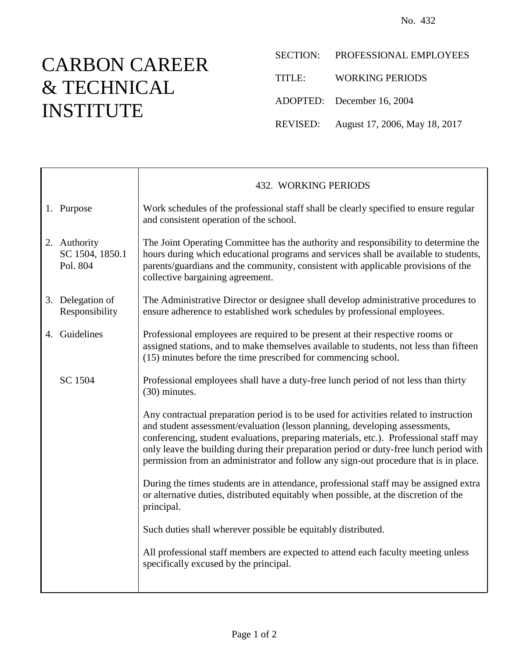## CARBON CAREER & TECHNICAL INSTITUTE

Τ

SECTION: PROFESSIONAL EMPLOYEES TITLE: WORKING PERIODS ADOPTED: December 16, 2004 REVISED: August 17, 2006, May 18, 2017

|                                             | <b>432. WORKING PERIODS</b>                                                                                                                                                                                                                                                                                                                                                                                                                      |
|---------------------------------------------|--------------------------------------------------------------------------------------------------------------------------------------------------------------------------------------------------------------------------------------------------------------------------------------------------------------------------------------------------------------------------------------------------------------------------------------------------|
| 1. Purpose                                  | Work schedules of the professional staff shall be clearly specified to ensure regular<br>and consistent operation of the school.                                                                                                                                                                                                                                                                                                                 |
| 2. Authority<br>SC 1504, 1850.1<br>Pol. 804 | The Joint Operating Committee has the authority and responsibility to determine the<br>hours during which educational programs and services shall be available to students,<br>parents/guardians and the community, consistent with applicable provisions of the<br>collective bargaining agreement.                                                                                                                                             |
| 3. Delegation of<br>Responsibility          | The Administrative Director or designee shall develop administrative procedures to<br>ensure adherence to established work schedules by professional employees.                                                                                                                                                                                                                                                                                  |
| 4. Guidelines                               | Professional employees are required to be present at their respective rooms or<br>assigned stations, and to make themselves available to students, not less than fifteen<br>(15) minutes before the time prescribed for commencing school.                                                                                                                                                                                                       |
| SC 1504                                     | Professional employees shall have a duty-free lunch period of not less than thirty<br>(30) minutes.                                                                                                                                                                                                                                                                                                                                              |
|                                             | Any contractual preparation period is to be used for activities related to instruction<br>and student assessment/evaluation (lesson planning, developing assessments,<br>conferencing, student evaluations, preparing materials, etc.). Professional staff may<br>only leave the building during their preparation period or duty-free lunch period with<br>permission from an administrator and follow any sign-out procedure that is in place. |
|                                             | During the times students are in attendance, professional staff may be assigned extra<br>or alternative duties, distributed equitably when possible, at the discretion of the<br>principal.                                                                                                                                                                                                                                                      |
|                                             | Such duties shall wherever possible be equitably distributed.                                                                                                                                                                                                                                                                                                                                                                                    |
|                                             | All professional staff members are expected to attend each faculty meeting unless<br>specifically excused by the principal.                                                                                                                                                                                                                                                                                                                      |
|                                             |                                                                                                                                                                                                                                                                                                                                                                                                                                                  |